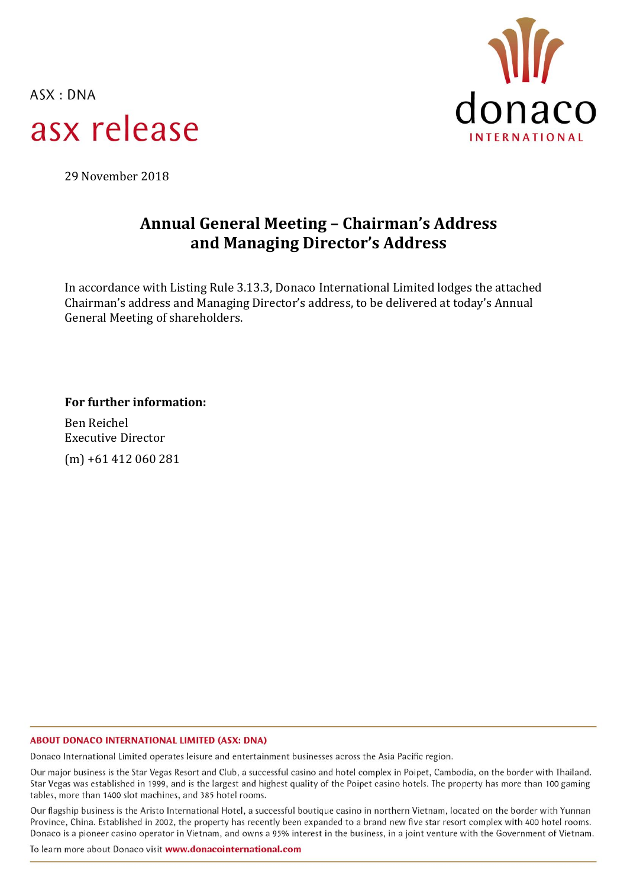$ASK: DNA$ asx release



29 November 2018

# **Annual General Meeting – Chairman's Address and Managing Director's Address**

In accordance with Listing Rule 3.13.3, Donaco International Limited lodges the attached Chairman's address and Managing Director's address, to be delivered at today's Annual General Meeting of shareholders.

**For further information:**

Ben Reichel Executive Director (m) +61 412 060 281

#### **ABOUT DONACO INTERNATIONAL LIMITED (ASX: DNA)**

Donaco International Limited operates leisure and entertainment businesses across the Asia Pacific region.

Our major business is the Star Vegas Resort and Club, a successful casino and hotel complex in Poipet, Cambodia, on the border with Thailand. Star Vegas was established in 1999, and is the largest and highest quality of the Poipet casino hotels. The property has more than 100 gaming tables, more than 1400 slot machines, and 385 hotel rooms.

Our flagship business is the Aristo International Hotel, a successful boutique casino in northern Vietnam, located on the border with Yunnan Province, China. Established in 2002, the property has recently been expanded to a brand new five star resort complex with 400 hotel rooms. Donaco is a pioneer casino operator in Vietnam, and owns a 95% interest in the business, in a joint venture with the Government of Vietnam.

To learn more about Donaco visit www.donacointernational.com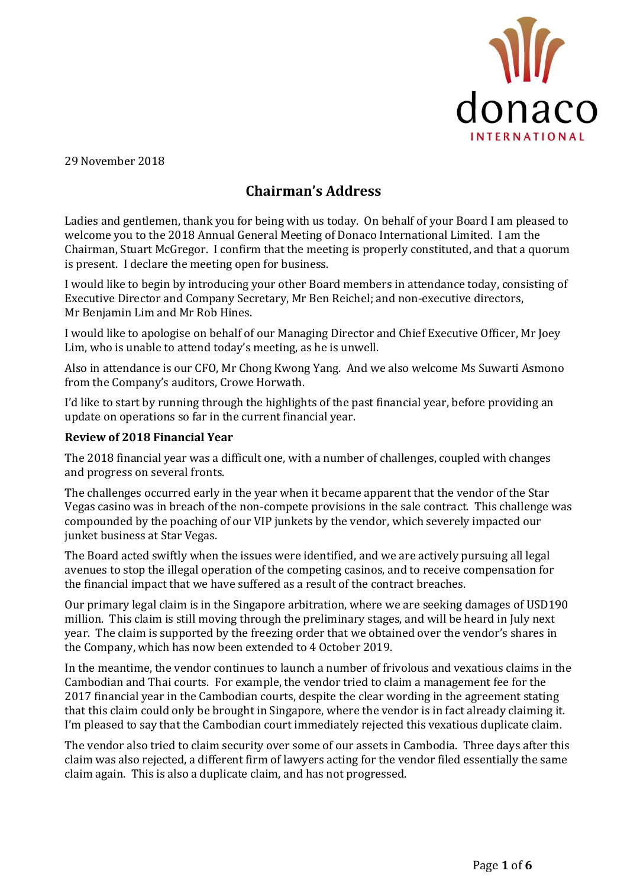

29 November 2018

## **Chairman's Address**

Ladies and gentlemen, thank you for being with us today. On behalf of your Board I am pleased to welcome you to the 2018 Annual General Meeting of Donaco International Limited. I am the Chairman, Stuart McGregor. I confirm that the meeting is properly constituted, and that a quorum is present. I declare the meeting open for business.

I would like to begin by introducing your other Board members in attendance today, consisting of Executive Director and Company Secretary, Mr Ben Reichel; and non-executive directors, Mr Benjamin Lim and Mr Rob Hines.

I would like to apologise on behalf of our Managing Director and Chief Executive Officer, Mr Joey Lim, who is unable to attend today's meeting, as he is unwell.

Also in attendance is our CFO, Mr Chong Kwong Yang. And we also welcome Ms Suwarti Asmono from the Company's auditors, Crowe Horwath.

I'd like to start by running through the highlights of the past financial year, before providing an update on operations so far in the current financial year.

### **Review of 2018 Financial Year**

The 2018 financial year was a difficult one, with a number of challenges, coupled with changes and progress on several fronts.

The challenges occurred early in the year when it became apparent that the vendor of the Star Vegas casino was in breach of the non-compete provisions in the sale contract. This challenge was compounded by the poaching of our VIP junkets by the vendor, which severely impacted our junket business at Star Vegas.

The Board acted swiftly when the issues were identified, and we are actively pursuing all legal avenues to stop the illegal operation of the competing casinos, and to receive compensation for the financial impact that we have suffered as a result of the contract breaches.

Our primary legal claim is in the Singapore arbitration, where we are seeking damages of USD190 million. This claim is still moving through the preliminary stages, and will be heard in July next year. The claim is supported by the freezing order that we obtained over the vendor's shares in the Company, which has now been extended to 4 October 2019.

In the meantime, the vendor continues to launch a number of frivolous and vexatious claims in the Cambodian and Thai courts. For example, the vendor tried to claim a management fee for the 2017 financial year in the Cambodian courts, despite the clear wording in the agreement stating that this claim could only be brought in Singapore, where the vendor is in fact already claiming it. I'm pleased to say that the Cambodian court immediately rejected this vexatious duplicate claim.

The vendor also tried to claim security over some of our assets in Cambodia. Three days after this claim was also rejected, a different firm of lawyers acting for the vendor filed essentially the same claim again. This is also a duplicate claim, and has not progressed.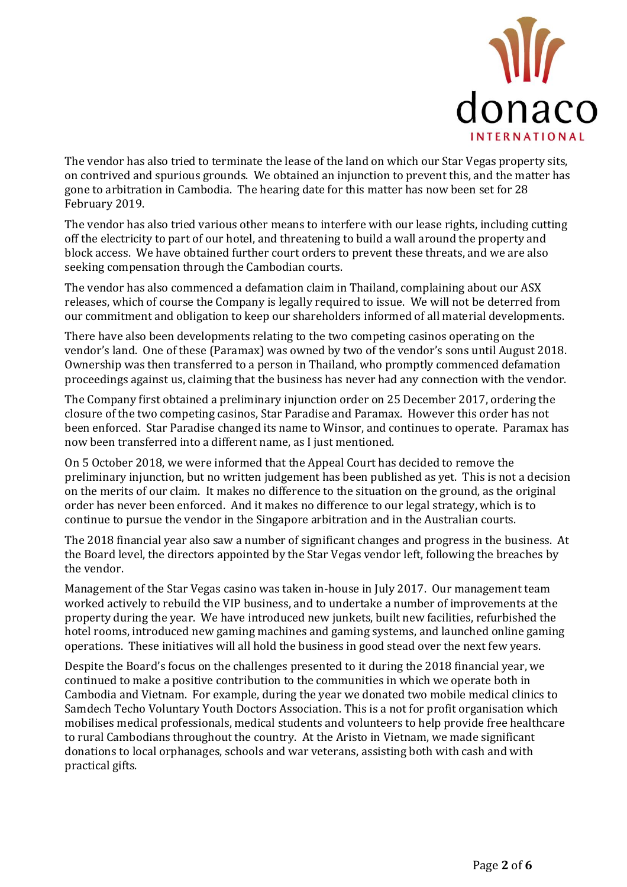

The vendor has also tried to terminate the lease of the land on which our Star Vegas property sits, on contrived and spurious grounds. We obtained an injunction to prevent this, and the matter has gone to arbitration in Cambodia. The hearing date for this matter has now been set for 28 February 2019.

The vendor has also tried various other means to interfere with our lease rights, including cutting off the electricity to part of our hotel, and threatening to build a wall around the property and block access. We have obtained further court orders to prevent these threats, and we are also seeking compensation through the Cambodian courts.

The vendor has also commenced a defamation claim in Thailand, complaining about our ASX releases, which of course the Company is legally required to issue. We will not be deterred from our commitment and obligation to keep our shareholders informed of all material developments.

There have also been developments relating to the two competing casinos operating on the vendor's land. One of these (Paramax) was owned by two of the vendor's sons until August 2018. Ownership was then transferred to a person in Thailand, who promptly commenced defamation proceedings against us, claiming that the business has never had any connection with the vendor.

The Company first obtained a preliminary injunction order on 25 December 2017, ordering the closure of the two competing casinos, Star Paradise and Paramax. However this order has not been enforced. Star Paradise changed its name to Winsor, and continues to operate. Paramax has now been transferred into a different name, as I just mentioned.

On 5 October 2018, we were informed that the Appeal Court has decided to remove the preliminary injunction, but no written judgement has been published as yet. This is not a decision on the merits of our claim. It makes no difference to the situation on the ground, as the original order has never been enforced. And it makes no difference to our legal strategy, which is to continue to pursue the vendor in the Singapore arbitration and in the Australian courts.

The 2018 financial year also saw a number of significant changes and progress in the business. At the Board level, the directors appointed by the Star Vegas vendor left, following the breaches by the vendor.

Management of the Star Vegas casino was taken in-house in July 2017. Our management team worked actively to rebuild the VIP business, and to undertake a number of improvements at the property during the year. We have introduced new junkets, built new facilities, refurbished the hotel rooms, introduced new gaming machines and gaming systems, and launched online gaming operations. These initiatives will all hold the business in good stead over the next few years.

Despite the Board's focus on the challenges presented to it during the 2018 financial year, we continued to make a positive contribution to the communities in which we operate both in Cambodia and Vietnam. For example, during the year we donated two mobile medical clinics to Samdech Techo Voluntary Youth Doctors Association. This is a not for profit organisation which mobilises medical professionals, medical students and volunteers to help provide free healthcare to rural Cambodians throughout the country. At the Aristo in Vietnam, we made significant donations to local orphanages, schools and war veterans, assisting both with cash and with practical gifts.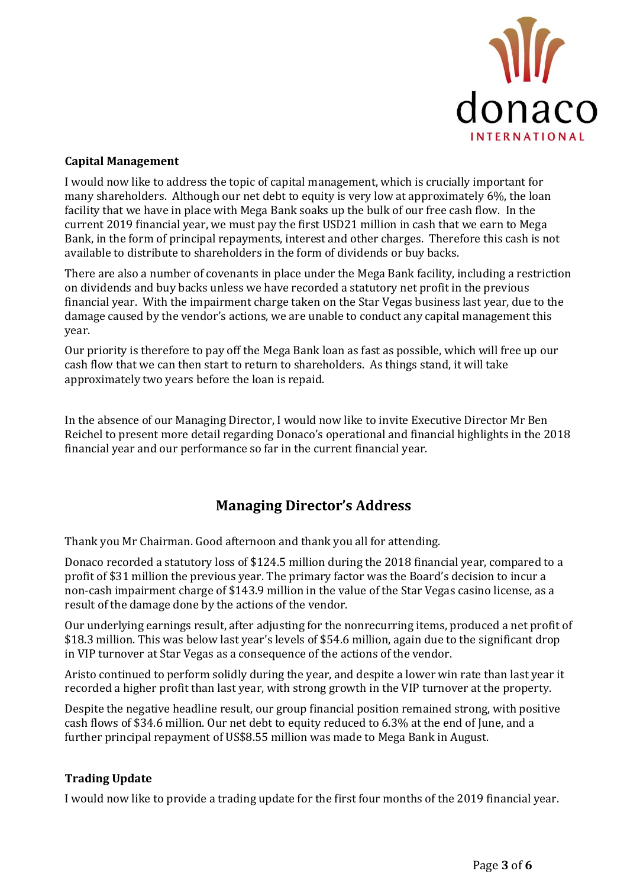

#### **Capital Management**

I would now like to address the topic of capital management, which is crucially important for many shareholders. Although our net debt to equity is very low at approximately 6%, the loan facility that we have in place with Mega Bank soaks up the bulk of our free cash flow. In the current 2019 financial year, we must pay the first USD21 million in cash that we earn to Mega Bank, in the form of principal repayments, interest and other charges. Therefore this cash is not available to distribute to shareholders in the form of dividends or buy backs.

There are also a number of covenants in place under the Mega Bank facility, including a restriction on dividends and buy backs unless we have recorded a statutory net profit in the previous financial year. With the impairment charge taken on the Star Vegas business last year, due to the damage caused by the vendor's actions, we are unable to conduct any capital management this year.

Our priority is therefore to pay off the Mega Bank loan as fast as possible, which will free up our cash flow that we can then start to return to shareholders. As things stand, it will take approximately two years before the loan is repaid.

In the absence of our Managing Director, I would now like to invite Executive Director Mr Ben Reichel to present more detail regarding Donaco's operational and financial highlights in the 2018 financial year and our performance so far in the current financial year.

### **Managing Director's Address**

Thank you Mr Chairman. Good afternoon and thank you all for attending.

Donaco recorded a statutory loss of \$124.5 million during the 2018 financial year, compared to a profit of \$31 million the previous year. The primary factor was the Board's decision to incur a non-cash impairment charge of \$143.9 million in the value of the Star Vegas casino license, as a result of the damage done by the actions of the vendor.

Our underlying earnings result, after adjusting for the nonrecurring items, produced a net profit of \$18.3 million. This was below last year's levels of \$54.6 million, again due to the significant drop in VIP turnover at Star Vegas as a consequence of the actions of the vendor.

Aristo continued to perform solidly during the year, and despite a lower win rate than last year it recorded a higher profit than last year, with strong growth in the VIP turnover at the property.

Despite the negative headline result, our group financial position remained strong, with positive cash flows of \$34.6 million. Our net debt to equity reduced to 6.3% at the end of June, and a further principal repayment of US\$8.55 million was made to Mega Bank in August.

### **Trading Update**

I would now like to provide a trading update for the first four months of the 2019 financial year.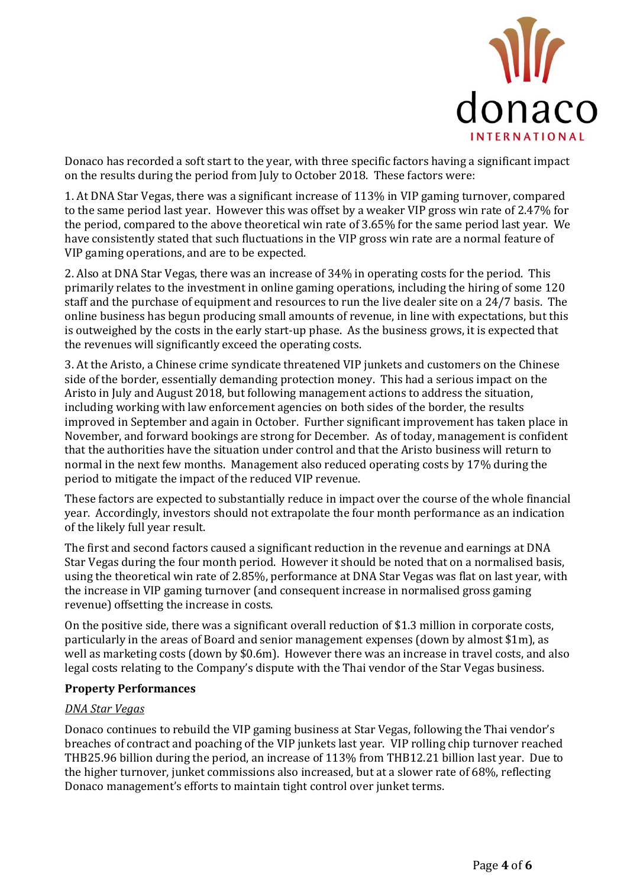

Donaco has recorded a soft start to the year, with three specific factors having a significant impact on the results during the period from July to October 2018. These factors were:

1. At DNA Star Vegas, there was a significant increase of 113% in VIP gaming turnover, compared to the same period last year. However this was offset by a weaker VIP gross win rate of 2.47% for the period, compared to the above theoretical win rate of 3.65% for the same period last year. We have consistently stated that such fluctuations in the VIP gross win rate are a normal feature of VIP gaming operations, and are to be expected.

2. Also at DNA Star Vegas, there was an increase of 34% in operating costs for the period. This primarily relates to the investment in online gaming operations, including the hiring of some 120 staff and the purchase of equipment and resources to run the live dealer site on a 24/7 basis. The online business has begun producing small amounts of revenue, in line with expectations, but this is outweighed by the costs in the early start-up phase. As the business grows, it is expected that the revenues will significantly exceed the operating costs.

3. At the Aristo, a Chinese crime syndicate threatened VIP junkets and customers on the Chinese side of the border, essentially demanding protection money. This had a serious impact on the Aristo in July and August 2018, but following management actions to address the situation, including working with law enforcement agencies on both sides of the border, the results improved in September and again in October. Further significant improvement has taken place in November, and forward bookings are strong for December. As of today, management is confident that the authorities have the situation under control and that the Aristo business will return to normal in the next few months. Management also reduced operating costs by 17% during the period to mitigate the impact of the reduced VIP revenue.

These factors are expected to substantially reduce in impact over the course of the whole financial year. Accordingly, investors should not extrapolate the four month performance as an indication of the likely full year result.

The first and second factors caused a significant reduction in the revenue and earnings at DNA Star Vegas during the four month period. However it should be noted that on a normalised basis, using the theoretical win rate of 2.85%, performance at DNA Star Vegas was flat on last year, with the increase in VIP gaming turnover (and consequent increase in normalised gross gaming revenue) offsetting the increase in costs.

On the positive side, there was a significant overall reduction of \$1.3 million in corporate costs, particularly in the areas of Board and senior management expenses (down by almost \$1m), as well as marketing costs (down by \$0.6m). However there was an increase in travel costs, and also legal costs relating to the Company's dispute with the Thai vendor of the Star Vegas business.

#### **Property Performances**

#### *DNA Star Vegas*

Donaco continues to rebuild the VIP gaming business at Star Vegas, following the Thai vendor's breaches of contract and poaching of the VIP junkets last year. VIP rolling chip turnover reached THB25.96 billion during the period, an increase of 113% from THB12.21 billion last year. Due to the higher turnover, junket commissions also increased, but at a slower rate of 68%, reflecting Donaco management's efforts to maintain tight control over junket terms.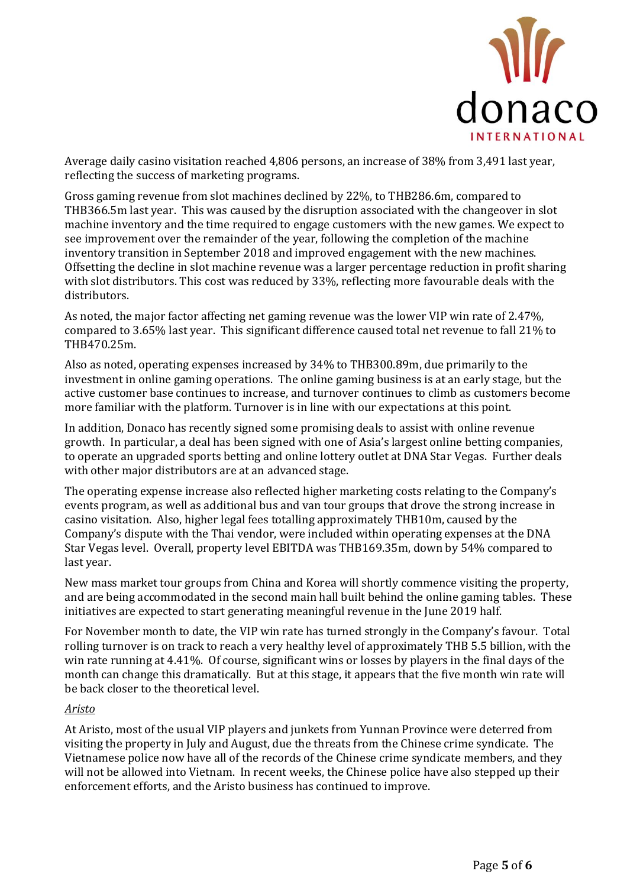

Average daily casino visitation reached 4,806 persons, an increase of 38% from 3,491 last year, reflecting the success of marketing programs.

Gross gaming revenue from slot machines declined by 22%, to THB286.6m, compared to THB366.5m last year. This was caused by the disruption associated with the changeover in slot machine inventory and the time required to engage customers with the new games. We expect to see improvement over the remainder of the year, following the completion of the machine inventory transition in September 2018 and improved engagement with the new machines. Offsetting the decline in slot machine revenue was a larger percentage reduction in profit sharing with slot distributors. This cost was reduced by 33%, reflecting more favourable deals with the distributors.

As noted, the major factor affecting net gaming revenue was the lower VIP win rate of 2.47%, compared to 3.65% last year. This significant difference caused total net revenue to fall 21% to THB470.25m.

Also as noted, operating expenses increased by 34% to THB300.89m, due primarily to the investment in online gaming operations. The online gaming business is at an early stage, but the active customer base continues to increase, and turnover continues to climb as customers become more familiar with the platform. Turnover is in line with our expectations at this point.

In addition, Donaco has recently signed some promising deals to assist with online revenue growth. In particular, a deal has been signed with one of Asia's largest online betting companies, to operate an upgraded sports betting and online lottery outlet at DNA Star Vegas. Further deals with other major distributors are at an advanced stage.

The operating expense increase also reflected higher marketing costs relating to the Company's events program, as well as additional bus and van tour groups that drove the strong increase in casino visitation. Also, higher legal fees totalling approximately THB10m, caused by the Company's dispute with the Thai vendor, were included within operating expenses at the DNA Star Vegas level. Overall, property level EBITDA was THB169.35m, down by 54% compared to last year.

New mass market tour groups from China and Korea will shortly commence visiting the property, and are being accommodated in the second main hall built behind the online gaming tables. These initiatives are expected to start generating meaningful revenue in the June 2019 half.

For November month to date, the VIP win rate has turned strongly in the Company's favour. Total rolling turnover is on track to reach a very healthy level of approximately THB 5.5 billion, with the win rate running at 4.41%. Of course, significant wins or losses by players in the final days of the month can change this dramatically. But at this stage, it appears that the five month win rate will be back closer to the theoretical level.

#### *Aristo*

At Aristo, most of the usual VIP players and junkets from Yunnan Province were deterred from visiting the property in July and August, due the threats from the Chinese crime syndicate. The Vietnamese police now have all of the records of the Chinese crime syndicate members, and they will not be allowed into Vietnam. In recent weeks, the Chinese police have also stepped up their enforcement efforts, and the Aristo business has continued to improve.